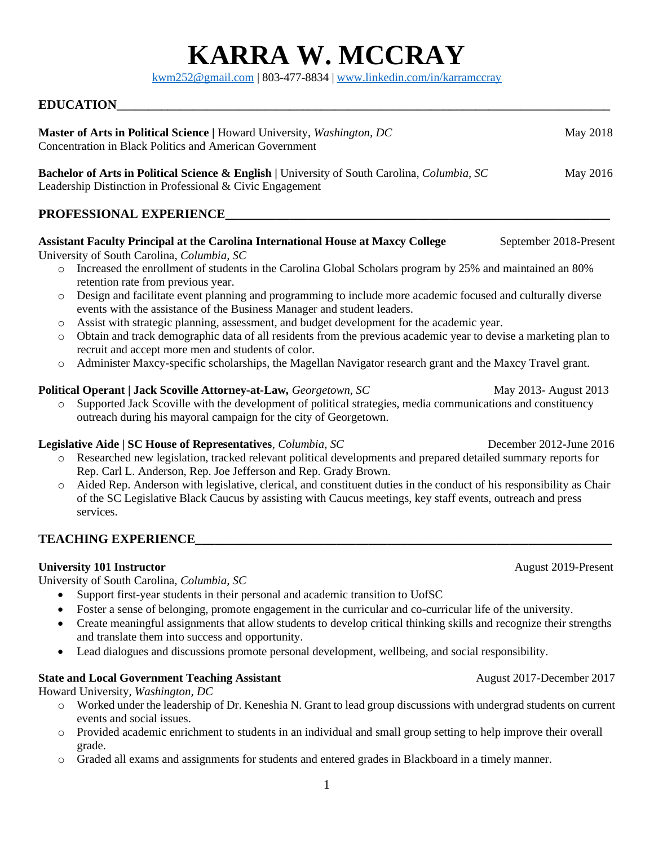# **KARRA W. MCCRAY**

[kwm252@gmail.com](mailto:kwm252@gmail.com) | 803-477-8834 | [www.linkedin.com/in/karramccray](http://www.linkedin.com/in/karramccray)

# **EDUCATION\_\_\_\_\_\_\_\_\_\_\_\_\_\_\_\_\_\_\_\_\_\_\_\_\_\_\_\_\_\_\_\_\_\_\_\_\_\_\_\_\_\_\_\_\_\_\_\_\_\_\_\_\_\_\_\_\_\_\_\_\_\_\_\_\_\_\_\_\_\_\_\_\_\_\_\_\_**

| Master of Arts in Political Science   Howard University, Washington, DC<br>Concentration in Black Politics and American Government                                                                                                                                                                                                                                                                                                                                                                                                                                                                                                                                                                                                                                                                                                                                                                                                                                                                                                                                                                                                                                                                                                                                                                                                                                                                                                                                                                                                                                                                                                                                                                                             | May 2018                                                                   |
|--------------------------------------------------------------------------------------------------------------------------------------------------------------------------------------------------------------------------------------------------------------------------------------------------------------------------------------------------------------------------------------------------------------------------------------------------------------------------------------------------------------------------------------------------------------------------------------------------------------------------------------------------------------------------------------------------------------------------------------------------------------------------------------------------------------------------------------------------------------------------------------------------------------------------------------------------------------------------------------------------------------------------------------------------------------------------------------------------------------------------------------------------------------------------------------------------------------------------------------------------------------------------------------------------------------------------------------------------------------------------------------------------------------------------------------------------------------------------------------------------------------------------------------------------------------------------------------------------------------------------------------------------------------------------------------------------------------------------------|----------------------------------------------------------------------------|
| <b>Bachelor of Arts in Political Science &amp; English</b>   University of South Carolina, <i>Columbia</i> , <i>SC</i><br>Leadership Distinction in Professional & Civic Engagement                                                                                                                                                                                                                                                                                                                                                                                                                                                                                                                                                                                                                                                                                                                                                                                                                                                                                                                                                                                                                                                                                                                                                                                                                                                                                                                                                                                                                                                                                                                                            | May 2016                                                                   |
| PROFESSIONAL EXPERIENCE                                                                                                                                                                                                                                                                                                                                                                                                                                                                                                                                                                                                                                                                                                                                                                                                                                                                                                                                                                                                                                                                                                                                                                                                                                                                                                                                                                                                                                                                                                                                                                                                                                                                                                        |                                                                            |
| <b>Assistant Faculty Principal at the Carolina International House at Maxcy College</b><br>University of South Carolina, Columbia, SC<br>Increased the enrollment of students in the Carolina Global Scholars program by 25% and maintained an 80%<br>$\circ$<br>retention rate from previous year.<br>Design and facilitate event planning and programming to include more academic focused and culturally diverse<br>$\circ$<br>events with the assistance of the Business Manager and student leaders.<br>Assist with strategic planning, assessment, and budget development for the academic year.<br>$\circ$<br>Obtain and track demographic data of all residents from the previous academic year to devise a marketing plan to<br>$\circ$<br>recruit and accept more men and students of color.<br>Administer Maxcy-specific scholarships, the Magellan Navigator research grant and the Maxcy Travel grant.<br>$\circ$<br>Political Operant   Jack Scoville Attorney-at-Law, Georgetown, SC<br>Supported Jack Scoville with the development of political strategies, media communications and constituency<br>$\circ$<br>outreach during his mayoral campaign for the city of Georgetown.<br>Legislative Aide   SC House of Representatives, Columbia, SC<br>Researched new legislation, tracked relevant political developments and prepared detailed summary reports for<br>$\circ$<br>Rep. Carl L. Anderson, Rep. Joe Jefferson and Rep. Grady Brown.<br>Aided Rep. Anderson with legislative, clerical, and constituent duties in the conduct of his responsibility as Chair<br>$\circ$<br>of the SC Legislative Black Caucus by assisting with Caucus meetings, key staff events, outreach and press<br>services. | September 2018-Present<br>May 2013- August 2013<br>December 2012-June 2016 |
| <b>TEACHING EXPERIENCE</b>                                                                                                                                                                                                                                                                                                                                                                                                                                                                                                                                                                                                                                                                                                                                                                                                                                                                                                                                                                                                                                                                                                                                                                                                                                                                                                                                                                                                                                                                                                                                                                                                                                                                                                     |                                                                            |
| <b>University 101 Instructor</b><br>University of South Carolina, Columbia, SC<br>• Support first-year students in their personal and academic transition to UofSC<br>Foster a sense of belonging, promote engagement in the curricular and co-curricular life of the university.<br>Create meaningful assignments that allow students to develop critical thinking skills and recognize their strengths<br>and translate them into success and opportunity.<br>Lead dialogues and discussions promote personal development, wellbeing, and social responsibility.<br>$\bullet$                                                                                                                                                                                                                                                                                                                                                                                                                                                                                                                                                                                                                                                                                                                                                                                                                                                                                                                                                                                                                                                                                                                                                | August 2019-Present                                                        |
| <b>State and Local Government Teaching Assistant</b>                                                                                                                                                                                                                                                                                                                                                                                                                                                                                                                                                                                                                                                                                                                                                                                                                                                                                                                                                                                                                                                                                                                                                                                                                                                                                                                                                                                                                                                                                                                                                                                                                                                                           | August 2017-December 2017                                                  |

Howard University*, Washington, DC*

- o Worked under the leadership of Dr. Keneshia N. Grant to lead group discussions with undergrad students on current events and social issues.
- o Provided academic enrichment to students in an individual and small group setting to help improve their overall grade.

1

o Graded all exams and assignments for students and entered grades in Blackboard in a timely manner.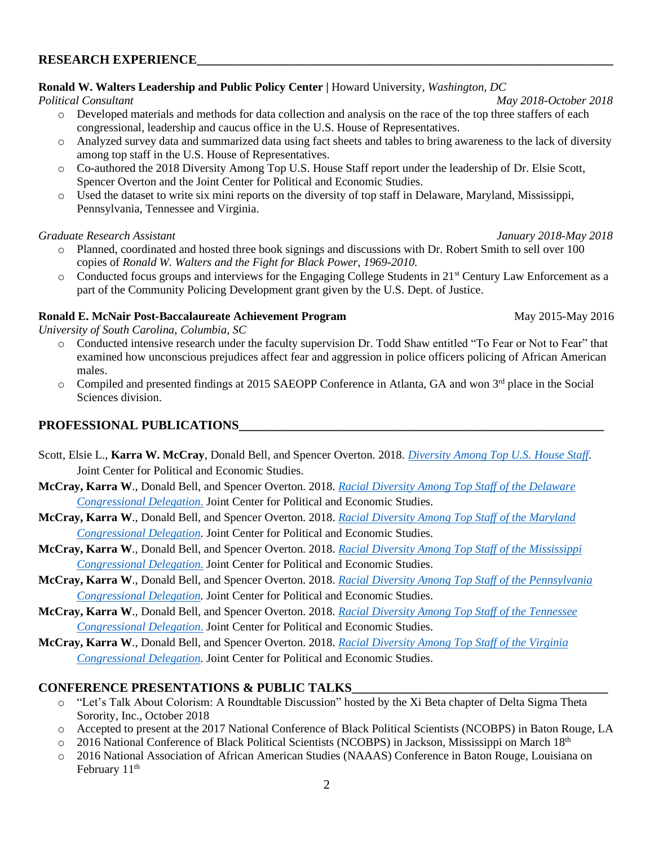#### **RESEARCH EXPERIENCE\_\_\_\_\_\_\_\_\_\_\_\_\_\_\_\_\_\_\_\_\_\_\_\_\_\_\_\_\_\_\_\_\_\_\_\_\_\_\_\_\_\_\_\_\_\_\_\_\_\_\_\_\_\_\_\_\_\_\_\_\_\_\_\_\_**

#### **Ronald W. Walters Leadership and Public Policy Center |** Howard University*, Washington, DC*

*Political Consultant May 2018-October 2018*

- o Developed materials and methods for data collection and analysis on the race of the top three staffers of each congressional, leadership and caucus office in the U.S. House of Representatives.
- o Analyzed survey data and summarized data using fact sheets and tables to bring awareness to the lack of diversity among top staff in the U.S. House of Representatives.
- o Co-authored the 2018 Diversity Among Top U.S. House Staff report under the leadership of Dr. Elsie Scott, Spencer Overton and the Joint Center for Political and Economic Studies.
- o Used the dataset to write six mini reports on the diversity of top staff in Delaware, Maryland, Mississippi, Pennsylvania, Tennessee and Virginia.

#### *Graduate Research Assistant January 2018-May 2018*

- o Planned, coordinated and hosted three book signings and discussions with Dr. Robert Smith to sell over 100 copies of *Ronald W. Walters and the Fight for Black Power, 1969-2010.*
- o Conducted focus groups and interviews for the Engaging College Students in 21st Century Law Enforcement as a part of the Community Policing Development grant given by the U.S. Dept. of Justice.

#### **Ronald E. McNair Post-Baccalaureate Achievement Program May 2015-May 2016**

*University of South Carolina, Columbia, SC* 

- o Conducted intensive research under the faculty supervision Dr. Todd Shaw entitled "To Fear or Not to Fear" that examined how unconscious prejudices affect fear and aggression in police officers policing of African American males.
- $\circ$  Compiled and presented findings at 2015 SAEOPP Conference in Atlanta, GA and won 3<sup>rd</sup> place in the Social Sciences division.

# **PROFESSIONAL PUBLICATIONS\_\_\_\_\_\_\_\_\_\_\_\_\_\_\_\_\_\_\_\_\_\_\_\_\_\_\_\_\_\_\_\_\_\_\_\_\_\_\_\_\_\_\_\_\_\_\_\_\_\_\_\_\_\_\_\_\_**

- Scott, Elsie L., **Karra W. McCray**, Donald Bell, and Spencer Overton. 2018. *[Diversity Among Top U.S. House Staff.](https://jointcenter.org/sites/default/files/Racial%20Diversity%20Among%20Top%20US%20House%20Staff%209-11-18%20245pm.pdf)* Joint Center for Political and Economic Studies.
- **McCray, Karra W**., Donald Bell, and Spencer Overton. 2018. *[Racial Diversity Among Top Staff of the Delaware](https://jointcenter.org/sites/default/files/Delaware%20Diversity%20Report%2011-14-18%20709%20pm.pdf) [Congressional Delegation.](https://jointcenter.org/sites/default/files/Delaware%20Diversity%20Report%2011-14-18%20709%20pm.pdf)* Joint Center for Political and Economic Studies.
- **McCray, Karra W**., Donald Bell, and Spencer Overton. 2018. *[Racial Diversity Among Top Staff of the Maryland](https://jointcenter.org/sites/default/files/Maryland%20Diversity%20Report%2011-14-18%20747%20pm.pdf) [Congressional Delegation.](https://jointcenter.org/sites/default/files/Maryland%20Diversity%20Report%2011-14-18%20747%20pm.pdf)* Joint Center for Political and Economic Studies.
- **McCray, Karra W**., Donald Bell, and Spencer Overton. 2018. *[Racial Diversity Among Top Staff of the Mississippi](https://jointcenter.org/sites/default/files/Mississippi%20Diversity%20Report%2011-13-18%20237%20pm%20%28final%29-merged.pdf) [Congressional Delegation.](https://jointcenter.org/sites/default/files/Mississippi%20Diversity%20Report%2011-13-18%20237%20pm%20%28final%29-merged.pdf)* Joint Center for Political and Economic Studies.
- **McCray, Karra W**., Donald Bell, and Spencer Overton. 2018. *[Racial Diversity Among Top Staff of the Pennsylvania](https://jointcenter.org/sites/default/files/Pennsylvania%20Diversity%20Report%2011-14-18%20710%20pm.pdf) [Congressional Delegation.](https://jointcenter.org/sites/default/files/Pennsylvania%20Diversity%20Report%2011-14-18%20710%20pm.pdf)* Joint Center for Political and Economic Studies.
- **McCray, Karra W**., Donald Bell, and Spencer Overton. 2018. *[Racial Diversity Among Top Staff of the Tennessee](https://jointcenter.org/sites/default/files/Tennessee%20Diversity%20Report%2011-14-18%20710%20pm.pdf) [Congressional Delegation.](https://jointcenter.org/sites/default/files/Tennessee%20Diversity%20Report%2011-14-18%20710%20pm.pdf)* Joint Center for Political and Economic Studies.
- **McCray, Karra W**., Donald Bell, and Spencer Overton. 2018. *Racial [Diversity Among Top Staff of the Virginia](https://jointcenter.org/sites/default/files/Virginia%20Diversity%20Report%2011-14-18%20705%20pm.pdf) [Congressional Delegation.](https://jointcenter.org/sites/default/files/Virginia%20Diversity%20Report%2011-14-18%20705%20pm.pdf)* Joint Center for Political and Economic Studies.

# **CONFERENCE PRESENTATIONS & PUBLIC TALKS\_\_\_\_\_\_\_\_\_\_\_\_\_\_\_\_\_\_\_\_\_\_\_\_\_\_\_\_\_\_\_\_\_\_\_\_\_\_\_\_**

- o "Let's Talk About Colorism: A Roundtable Discussion" hosted by the Xi Beta chapter of Delta Sigma Theta Sorority, Inc., October 2018
- o Accepted to present at the 2017 National Conference of Black Political Scientists (NCOBPS) in Baton Rouge, LA
- o 2016 National Conference of Black Political Scientists (NCOBPS) in Jackson, Mississippi on March 18th
- o 2016 National Association of African American Studies (NAAAS) Conference in Baton Rouge, Louisiana on February 11<sup>th</sup>